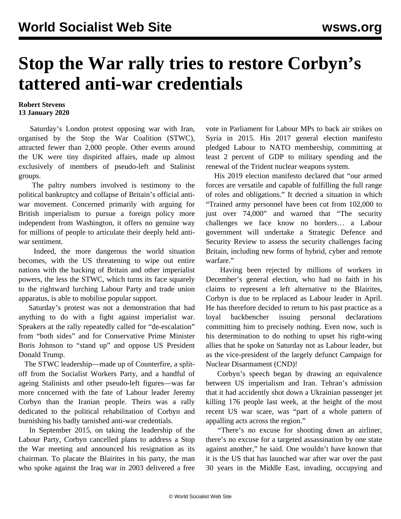## **Stop the War rally tries to restore Corbyn's tattered anti-war credentials**

## **Robert Stevens 13 January 2020**

 Saturday's London protest opposing war with Iran, organised by the Stop the War Coalition (STWC), attracted fewer than 2,000 people. Other events around the UK were tiny dispirited affairs, made up almost exclusively of members of pseudo-left and Stalinist groups.

 The paltry numbers involved is testimony to the political bankruptcy and collapse of Britain's official antiwar movement. Concerned primarily with arguing for British imperialism to pursue a foreign policy more independent from Washington, it offers no genuine way for millions of people to articulate their deeply held antiwar sentiment.

 Indeed, the more dangerous the world situation becomes, with the US threatening to wipe out entire nations with the backing of Britain and other imperialist powers, the less the STWC, which turns its face squarely to the rightward lurching Labour Party and trade union apparatus, is able to mobilise popular support.

 Saturday's protest was not a demonstration that had anything to do with a fight against imperialist war. Speakers at the rally repeatedly called for "de-escalation" from "both sides" and for Conservative Prime Minister Boris Johnson to "stand up" and oppose US President Donald Trump.

 The STWC leadership—made up of Counterfire, a splitoff from the Socialist Workers Party, and a handful of ageing Stalinists and other pseudo-left figures—was far more concerned with the fate of Labour leader Jeremy Corbyn than the Iranian people. Theirs was a rally dedicated to the political rehabilitation of Corbyn and burnishing his badly tarnished anti-war credentials.

 In September 2015, on taking the leadership of the Labour Party, Corbyn cancelled plans to address a Stop the War meeting and announced his resignation as its chairman. To placate the Blairites in his party, the man who spoke against the Iraq war in 2003 delivered a free

vote in Parliament for Labour MPs to back air strikes on Syria in 2015. His 2017 general election manifesto pledged Labour to NATO membership, committing at least 2 percent of GDP to military spending and the renewal of the Trident nuclear weapons system.

 His 2019 election manifesto declared that "our armed forces are versatile and capable of fulfilling the full range of roles and obligations." It decried a situation in which "Trained army personnel have been cut from 102,000 to just over 74,000" and warned that "The security challenges we face know no borders… a Labour government will undertake a Strategic Defence and Security Review to assess the security challenges facing Britain, including new forms of hybrid, cyber and remote warfare."

 Having been rejected by millions of workers in December's general election, who had no faith in his claims to represent a left alternative to the Blairites, Corbyn is due to be replaced as Labour leader in April. He has therefore decided to return to his past practice as a loyal backbencher issuing personal declarations committing him to precisely nothing. Even now, such is his determination to do nothing to upset his right-wing allies that he spoke on Saturday not as Labour leader, but as the vice-president of the largely defunct Campaign for Nuclear Disarmament (CND)!

 Corbyn's speech began by drawing an equivalence between US imperialism and Iran. Tehran's admission that it had accidently shot down a Ukrainian passenger jet killing 176 people last week, at the height of the most recent US war scare, was "part of a whole pattern of appalling acts across the region."

 "There's no excuse for shooting down an airliner, there's no excuse for a targeted assassination by one state against another," he said. One wouldn't have known that it is the US that has launched war after war over the past 30 years in the Middle East, invading, occupying and